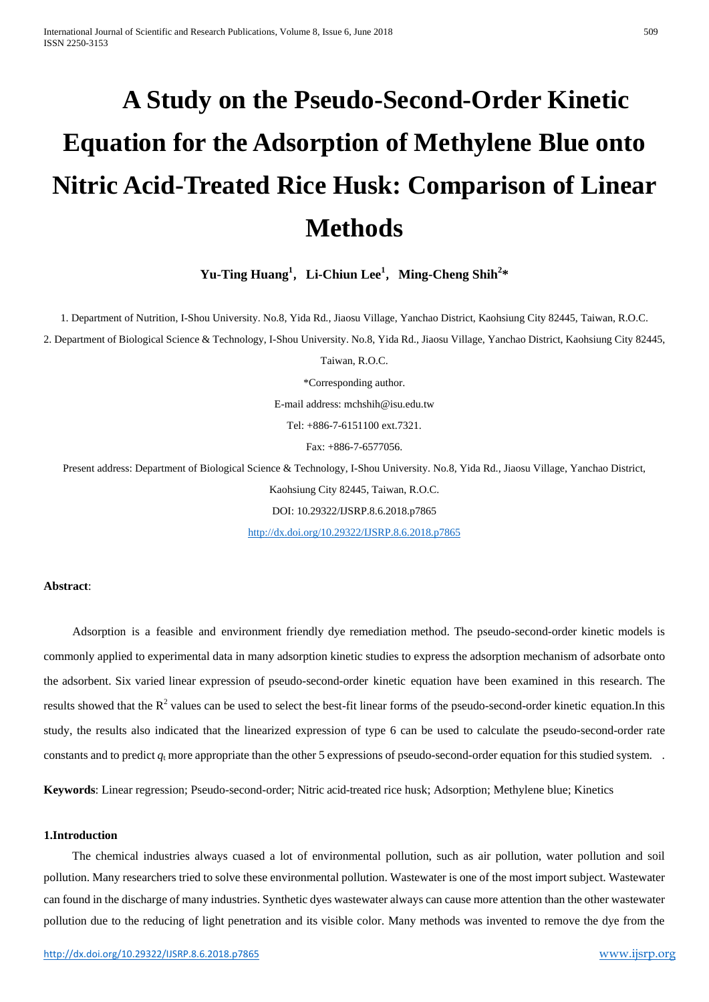# **A Study on the Pseudo-Second-Order Kinetic Equation for the Adsorption of Methylene Blue onto Nitric Acid-Treated Rice Husk: Comparison of Linear Methods**

**Yu-Ting Huang<sup>1</sup>** ,**Li-Chiun Lee1** ,**Ming-Cheng Shih<sup>2</sup> \***

1. Department of Nutrition, I-Shou University. No.8, Yida Rd., Jiaosu Village, Yanchao District, Kaohsiung City 82445, Taiwan, R.O.C.

2. Department of Biological Science & Technology, I-Shou University. No.8, Yida Rd., Jiaosu Village, Yanchao District, Kaohsiung City 82445,

Taiwan, R.O.C.

\*Corresponding author.

E-mail address: mchshih@isu.edu.tw

Tel: +886-7-6151100 ext.7321.

Fax: +886-7-6577056.

Present address: Department of Biological Science & Technology, I-Shou University. No.8, Yida Rd., Jiaosu Village, Yanchao District, Kaohsiung City 82445, Taiwan, R.O.C. DOI: 10.29322/IJSRP.8.6.2018.p7865

<http://dx.doi.org/10.29322/IJSRP.8.6.2018.p7865>

## **Abstract**:

Adsorption is a feasible and environment friendly dye remediation method. The pseudo-second-order kinetic models is commonly applied to experimental data in many adsorption kinetic studies to express the adsorption mechanism of adsorbate onto the adsorbent. Six varied linear expression of pseudo-second-order kinetic equation have been examined in this research. The results showed that the  $R^2$  values can be used to select the best-fit linear forms of the pseudo-second-order kinetic equation.In this study, the results also indicated that the linearized expression of type 6 can be used to calculate the pseudo-second-order rate constants and to predict  $q_t$  more appropriate than the other 5 expressions of pseudo-second-order equation for this studied system.

**Keywords**: Linear regression; Pseudo-second-order; Nitric acid-treated rice husk; Adsorption; Methylene blue; Kinetics

### **1.Introduction**

The chemical industries always cuased a lot of environmental pollution, such as air pollution, water pollution and soil pollution. Many researchers tried to solve these environmental pollution. Wastewater is one of the most import subject. Wastewater can found in the discharge of many industries. Synthetic dyes wastewater always can cause more attention than the other wastewater pollution due to the reducing of light penetration and its visible color. Many methods was invented to remove the dye from the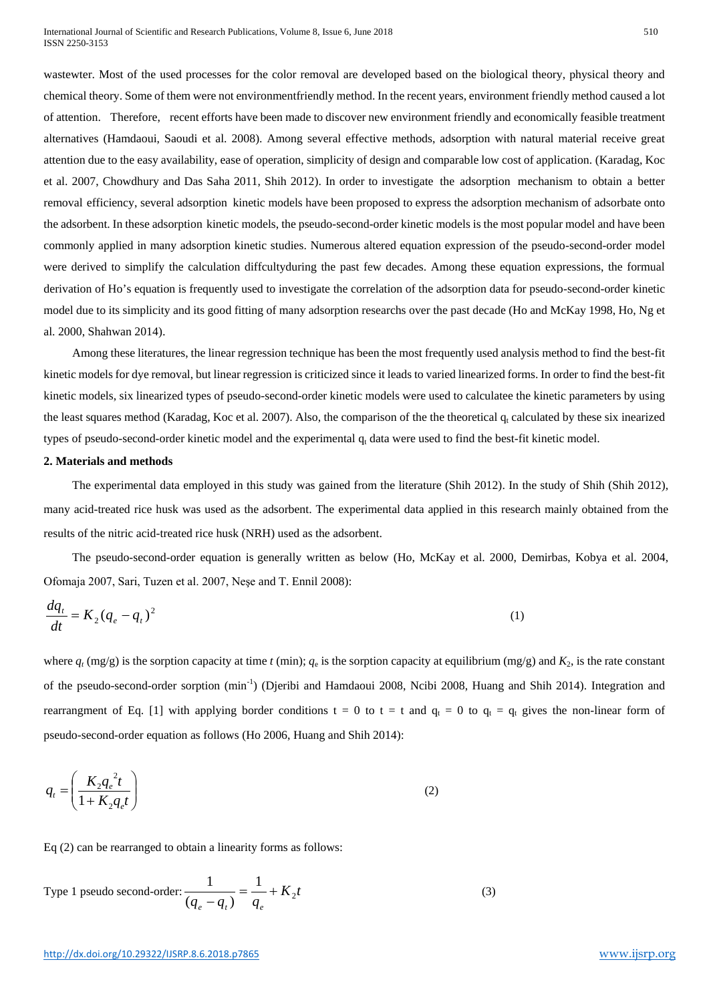wastewter. Most of the used processes for the color removal are developed based on the biological theory, physical theory and chemical theory. Some of them were not environmentfriendly method. In the recent years, environment friendly method caused a lot of attention. Therefore, recent efforts have been made to discover new environment friendly and economically feasible treatment alternatives (Hamdaoui, Saoudi et al. 2008). Among several effective methods, adsorption with natural material receive great attention due to the easy availability, ease of operation, simplicity of design and comparable low cost of application. (Karadag, Koc et al. 2007, Chowdhury and Das Saha 2011, Shih 2012). In order to investigate the adsorption mechanism to obtain a better removal efficiency, several adsorption kinetic models have been proposed to express the adsorption mechanism of adsorbate onto the adsorbent. In these adsorption kinetic models, the pseudo-second-order kinetic models is the most popular model and have been commonly applied in many adsorption kinetic studies. Numerous altered equation expression of the pseudo-second-order model were derived to simplify the calculation diffcultyduring the past few decades. Among these equation expressions, the formual derivation of Ho's equation is frequently used to investigate the correlation of the adsorption data for pseudo-second-order kinetic model due to its simplicity and its good fitting of many adsorption researchs over the past decade (Ho and McKay 1998, Ho, Ng et al. 2000, Shahwan 2014).

Among these literatures, the linear regression technique has been the most frequently used analysis method to find the best-fit kinetic models for dye removal, but linear regression is criticized since it leads to varied linearized forms. In order to find the best-fit kinetic models, six linearized types of pseudo-second-order kinetic models were used to calculatee the kinetic parameters by using the least squares method (Karadag, Koc et al. 2007). Also, the comparison of the the theoretical  $q_t$  calculated by these six inearized types of pseudo-second-order kinetic model and the experimental  $q_t$  data were used to find the best-fit kinetic model.

## **2. Materials and methods**

The experimental data employed in this study was gained from the literature (Shih 2012). In the study of Shih (Shih 2012), many acid-treated rice husk was used as the adsorbent. The experimental data applied in this research mainly obtained from the results of the nitric acid-treated rice husk (NRH) used as the adsorbent.

The pseudo-second-order equation is generally written as below (Ho, McKay et al. 2000, Demirbas, Kobya et al. 2004, Ofomaja 2007, Sari, Tuzen et al. 2007, Neşe and T. Ennil 2008):

$$
\frac{dq_t}{dt} = K_2 (q_e - q_t)^2 \tag{1}
$$

where  $q_t$  (mg/g) is the sorption capacity at time *t* (min);  $q_e$  is the sorption capacity at equilibrium (mg/g) and  $K_2$ , is the rate constant of the pseudo-second-order sorption (min<sup>-1</sup>) (Djeribi and Hamdaoui 2008, Ncibi 2008, Huang and Shih 2014). Integration and rearrangment of Eq. [1] with applying border conditions  $t = 0$  to  $t = t$  and  $q_t = 0$  to  $q_t = q_t$  gives the non-linear form of pseudo-second-order equation as follows (Ho 2006, Huang and Shih 2014):

$$
q_t = \left(\frac{K_2 q_e^2 t}{1 + K_2 q_e t}\right) \tag{2}
$$

Eq (2) can be rearranged to obtain a linearity forms as follows:

Type 1 pseudo second-order: 
$$
\frac{1}{(q_e - q_t)} = \frac{1}{q_e} + K_2 t
$$
 (3)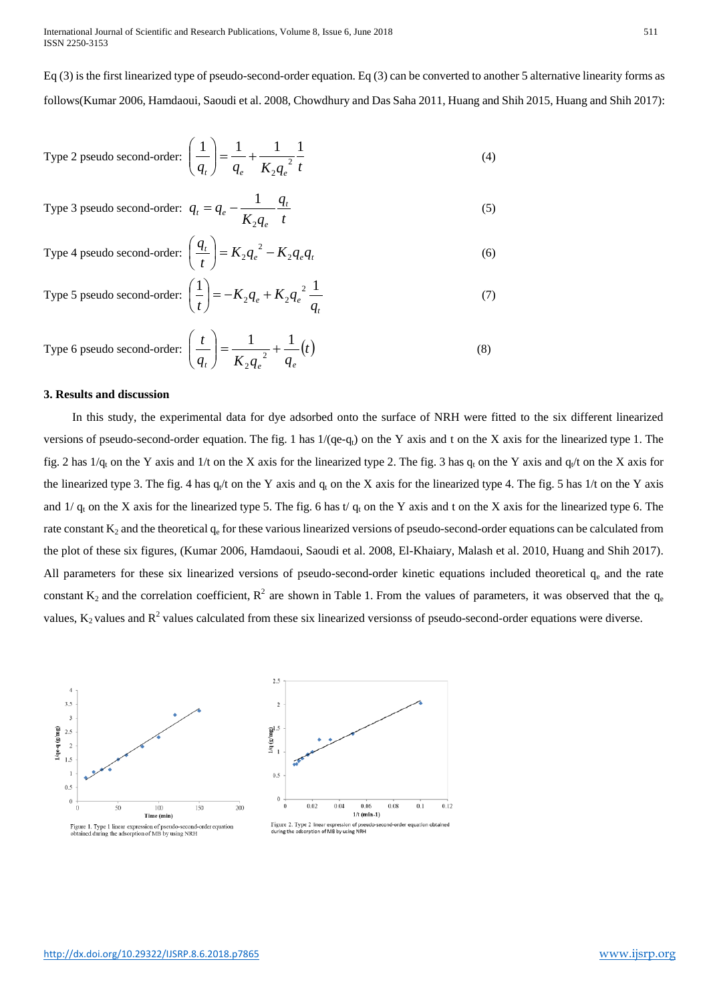International Journal of Scientific and Research Publications, Volume 8, Issue 6, June 2018 511 ISSN 2250-3153

Eq (3) is the first linearized type of pseudo-second-order equation. Eq (3) can be converted to another 5 alternative linearity forms as follows(Kumar 2006, Hamdaoui, Saoudi et al. 2008, Chowdhury and Das Saha 2011, Huang and Shih 2015, Huang and Shih 2017):

Type 2 pseudo second-order: 
$$
\left(\frac{1}{q_t}\right) = \frac{1}{q_e} + \frac{1}{K_2 q_e^2} \frac{1}{t}
$$
 (4)

Type 3 pseudo second-order: 
$$
q_t = q_e - \frac{1}{K_2 q_e} \frac{q_t}{t}
$$
 (5)

Type 4 pseudo second-order: 
$$
\left(\frac{q_t}{t}\right) = K_2 q_e^2 - K_2 q_e q_t
$$
 (6)

Type 5 pseudo second-order: 
$$
\left(\frac{1}{t}\right) = -K_2 q_e + K_2 q_e^2 \frac{1}{q_t}
$$
 (7)

Type 6 pseudo second-order: 
$$
\left(\frac{t}{q_t}\right) = \frac{1}{K_2 q_e^2} + \frac{1}{q_e}(t)
$$
 (8)

#### **3. Results and discussion**

In this study, the experimental data for dye adsorbed onto the surface of NRH were fitted to the six different linearized versions of pseudo-second-order equation. The fig. 1 has  $1/(qe-q<sub>t</sub>)$  on the Y axis and t on the X axis for the linearized type 1. The fig. 2 has  $1/q_t$  on the Y axis and  $1/t$  on the X axis for the linearized type 2. The fig. 3 has  $q_t$  on the Y axis and  $q_t/t$  on the X axis for the linearized type 3. The fig. 4 has  $q_t/$  on the Y axis and  $q_t$  on the X axis for the linearized type 4. The fig. 5 has 1/t on the Y axis and  $1/q_t$  on the X axis for the linearized type 5. The fig. 6 has t/  $q_t$  on the Y axis and t on the X axis for the linearized type 6. The rate constant  $K_2$  and the theoretical  $q_e$  for these various linearized versions of pseudo-second-order equations can be calculated from the plot of these six figures, (Kumar 2006, Hamdaoui, Saoudi et al. 2008, El-Khaiary, Malash et al. 2010, Huang and Shih 2017). All parameters for these six linearized versions of pseudo-second-order kinetic equations included theoretical  $q_e$  and the rate constant  $K_2$  and the correlation coefficient,  $R^2$  are shown in Table 1. From the values of parameters, it was observed that the  $q_e$ values,  $K_2$  values and  $R^2$  values calculated from these six linearized versionss of pseudo-second-order equations were diverse.

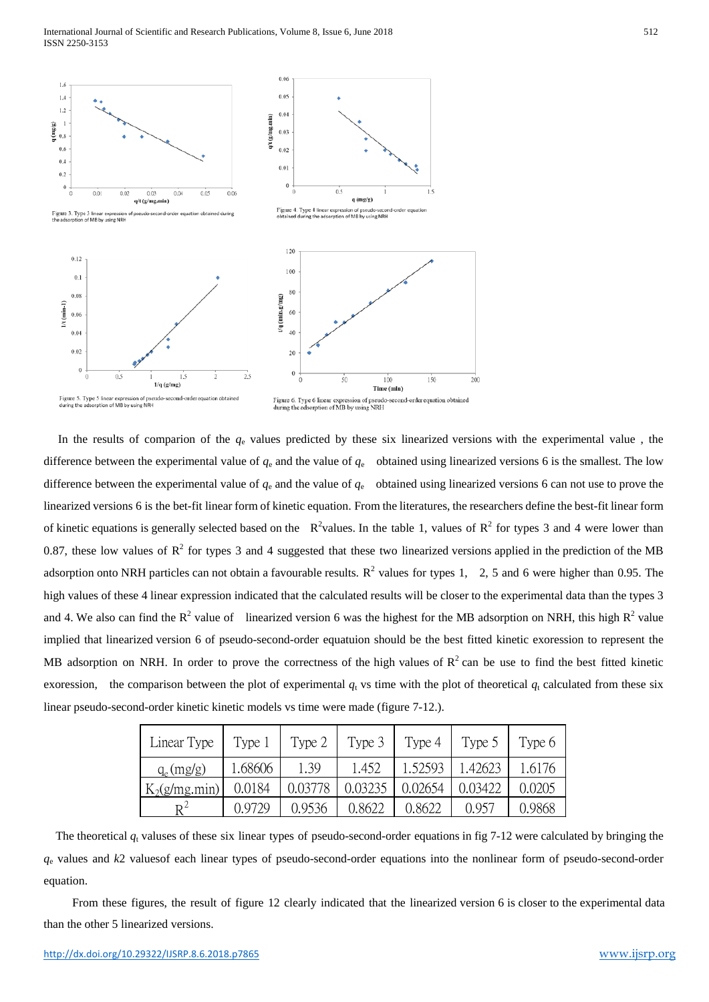

In the results of comparion of the *q*<sup>e</sup> values predicted by these six linearized versions with the experimental value , the difference between the experimental value of  $q_e$  and the value of  $q_e$  obtained using linearized versions 6 is the smallest. The low difference between the experimental value of  $q_e$  and the value of  $q_e$  obtained using linearized versions 6 can not use to prove the linearized versions 6 is the bet-fit linear form of kinetic equation. From the literatures, the researchers define the best-fit linear form of kinetic equations is generally selected based on the  $R^2$ values. In the table 1, values of  $R^2$  for types 3 and 4 were lower than 0.87, these low values of  $\mathbb{R}^2$  for types 3 and 4 suggested that these two linearized versions applied in the prediction of the MB adsorption onto NRH particles can not obtain a favourable results.  $R^2$  values for types 1, 2, 5 and 6 were higher than 0.95. The high values of these 4 linear expression indicated that the calculated results will be closer to the experimental data than the types 3 and 4. We also can find the  $R^2$  value of linearized version 6 was the highest for the MB adsorption on NRH, this high  $R^2$  value implied that linearized version 6 of pseudo-second-order equatuion should be the best fitted kinetic exoression to represent the MB adsorption on NRH. In order to prove the correctness of the high values of  $R^2$  can be use to find the best fitted kinetic exoression, the comparison between the plot of experimental  $q_t$  vs time with the plot of theoretical  $q_t$  calculated from these six linear pseudo-second-order kinetic kinetic models vs time were made (figure 7-12.).

| Linear Type     | Type 1  | Type 2  | Type 3  | Type 4  | Type 5  | Type 6 |
|-----------------|---------|---------|---------|---------|---------|--------|
| $q_e(mg/g)$     | 1.68606 | 1.39    | 1.452   | 1.52593 | 1.42623 | 1.6176 |
| $K_2(g/mg.min)$ | 0.0184  | 0.03778 | 0.03235 | 0.02654 | 0.03422 | 0.0205 |
|                 | 0.9729  | 0.9536  | 0.8622  | 0.8622  | 0.957   | 0.9868 |

The theoretical  $q_t$  valuses of these six linear types of pseudo-second-order equations in fig 7-12 were calculated by bringing the *q*<sup>e</sup> values and *k*2 valuesof each linear types of pseudo-second-order equations into the nonlinear form of pseudo-second-order equation.

From these figures, the result of figure 12 clearly indicated that the linearized version 6 is closer to the experimental data than the other 5 linearized versions.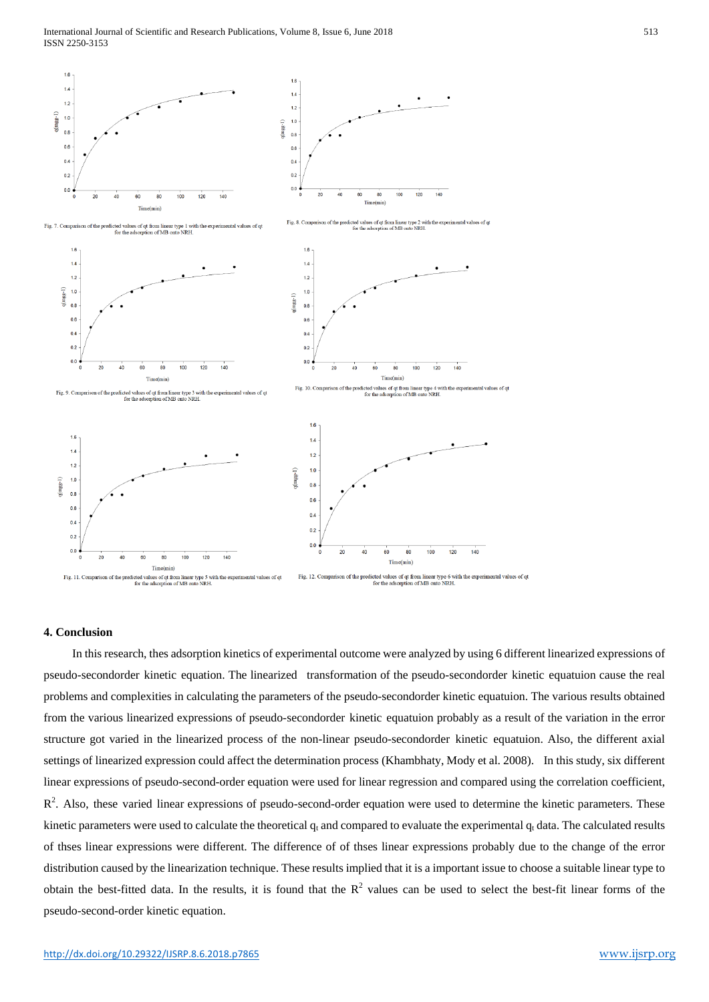

## **4. Conclusion**

In this research, thes adsorption kinetics of experimental outcome were analyzed by using 6 different linearized expressions of pseudo-secondorder kinetic equation. The linearized transformation of the pseudo-secondorder kinetic equatuion cause the real problems and complexities in calculating the parameters of the pseudo-secondorder kinetic equatuion. The various results obtained from the various linearized expressions of pseudo-secondorder kinetic equatuion probably as a result of the variation in the error structure got varied in the linearized process of the non-linear pseudo-secondorder kinetic equatuion. Also, the different axial settings of linearized expression could affect the determination process (Khambhaty, Mody et al. 2008). In this study, six different linear expressions of pseudo-second-order equation were used for linear regression and compared using the correlation coefficient,  $R<sup>2</sup>$ . Also, these varied linear expressions of pseudo-second-order equation were used to determine the kinetic parameters. These kinetic parameters were used to calculate the theoretical  $q_t$  and compared to evaluate the experimental  $q_t$  data. The calculated results of thses linear expressions were different. The difference of of thses linear expressions probably due to the change of the error distribution caused by the linearization technique. These results implied that it is a important issue to choose a suitable linear type to obtain the best-fitted data. In the results, it is found that the  $R<sup>2</sup>$  values can be used to select the best-fit linear forms of the pseudo-second-order kinetic equation.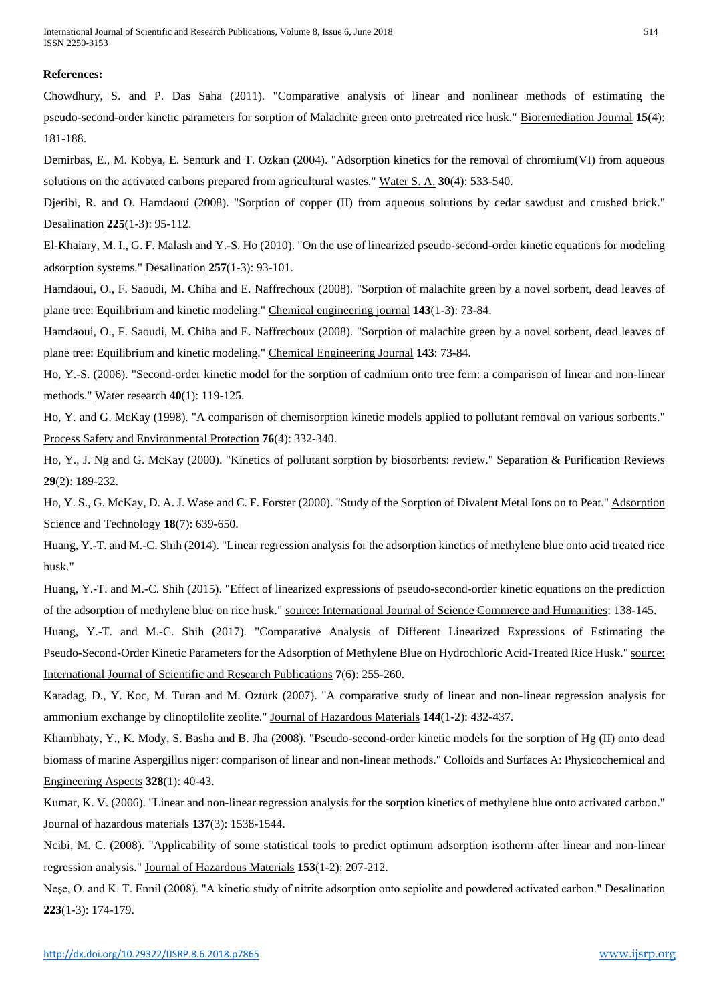## **References:**

Chowdhury, S. and P. Das Saha (2011). "Comparative analysis of linear and nonlinear methods of estimating the pseudo-second-order kinetic parameters for sorption of Malachite green onto pretreated rice husk." Bioremediation Journal **15**(4): 181-188.

Demirbas, E., M. Kobya, E. Senturk and T. Ozkan (2004). "Adsorption kinetics for the removal of chromium(VI) from aqueous solutions on the activated carbons prepared from agricultural wastes." Water S. A. **30**(4): 533-540.

Djeribi, R. and O. Hamdaoui (2008). "Sorption of copper (II) from aqueous solutions by cedar sawdust and crushed brick." Desalination **225**(1-3): 95-112.

El-Khaiary, M. I., G. F. Malash and Y.-S. Ho (2010). "On the use of linearized pseudo-second-order kinetic equations for modeling adsorption systems." Desalination **257**(1-3): 93-101.

Hamdaoui, O., F. Saoudi, M. Chiha and E. Naffrechoux (2008). "Sorption of malachite green by a novel sorbent, dead leaves of plane tree: Equilibrium and kinetic modeling." Chemical engineering journal **143**(1-3): 73-84.

Hamdaoui, O., F. Saoudi, M. Chiha and E. Naffrechoux (2008). "Sorption of malachite green by a novel sorbent, dead leaves of plane tree: Equilibrium and kinetic modeling." Chemical Engineering Journal **143**: 73-84.

Ho, Y.-S. (2006). "Second-order kinetic model for the sorption of cadmium onto tree fern: a comparison of linear and non-linear methods." Water research **40**(1): 119-125.

Ho, Y. and G. McKay (1998). "A comparison of chemisorption kinetic models applied to pollutant removal on various sorbents." Process Safety and Environmental Protection **76**(4): 332-340.

Ho, Y., J. Ng and G. McKay (2000). "Kinetics of pollutant sorption by biosorbents: review." Separation & Purification Reviews **29**(2): 189-232.

Ho, Y. S., G. McKay, D. A. J. Wase and C. F. Forster (2000). "Study of the Sorption of Divalent Metal Ions on to Peat." Adsorption Science and Technology **18**(7): 639-650.

Huang, Y.-T. and M.-C. Shih (2014). "Linear regression analysis for the adsorption kinetics of methylene blue onto acid treated rice husk."

Huang, Y.-T. and M.-C. Shih (2015). "Effect of linearized expressions of pseudo-second-order kinetic equations on the prediction of the adsorption of methylene blue on rice husk." source: International Journal of Science Commerce and Humanities: 138-145.

Huang, Y.-T. and M.-C. Shih (2017). "Comparative Analysis of Different Linearized Expressions of Estimating the Pseudo-Second-Order Kinetic Parameters for the Adsorption of Methylene Blue on Hydrochloric Acid-Treated Rice Husk." source: International Journal of Scientific and Research Publications **7**(6): 255-260.

Karadag, D., Y. Koc, M. Turan and M. Ozturk (2007). "A comparative study of linear and non-linear regression analysis for ammonium exchange by clinoptilolite zeolite." Journal of Hazardous Materials **144**(1-2): 432-437.

Khambhaty, Y., K. Mody, S. Basha and B. Jha (2008). "Pseudo-second-order kinetic models for the sorption of Hg (II) onto dead biomass of marine Aspergillus niger: comparison of linear and non-linear methods." Colloids and Surfaces A: Physicochemical and Engineering Aspects **328**(1): 40-43.

Kumar, K. V. (2006). "Linear and non-linear regression analysis for the sorption kinetics of methylene blue onto activated carbon." Journal of hazardous materials **137**(3): 1538-1544.

Ncibi, M. C. (2008). "Applicability of some statistical tools to predict optimum adsorption isotherm after linear and non-linear regression analysis." Journal of Hazardous Materials **153**(1-2): 207-212.

Neşe, O. and K. T. Ennil (2008). "A kinetic study of nitrite adsorption onto sepiolite and powdered activated carbon." Desalination **223**(1-3): 174-179.